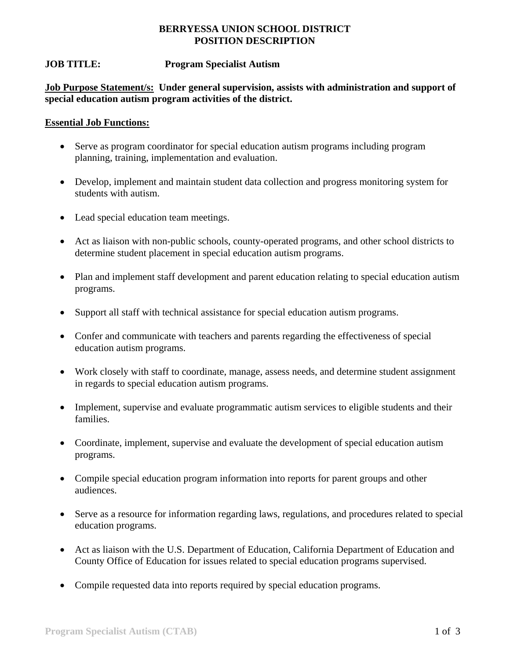### **BERRYESSA UNION SCHOOL DISTRICT POSITION DESCRIPTION**

## **JOB TITLE: Program Specialist Autism**

**Job Purpose Statement/s: Under general supervision, assists with administration and support of special education autism program activities of the district.** 

#### **Essential Job Functions:**

- Serve as program coordinator for special education autism programs including program planning, training, implementation and evaluation.
- Develop, implement and maintain student data collection and progress monitoring system for students with autism.
- Lead special education team meetings.
- Act as liaison with non-public schools, county-operated programs, and other school districts to determine student placement in special education autism programs.
- Plan and implement staff development and parent education relating to special education autism programs.
- Support all staff with technical assistance for special education autism programs.
- Confer and communicate with teachers and parents regarding the effectiveness of special education autism programs.
- Work closely with staff to coordinate, manage, assess needs, and determine student assignment in regards to special education autism programs.
- Implement, supervise and evaluate programmatic autism services to eligible students and their families.
- Coordinate, implement, supervise and evaluate the development of special education autism programs.
- Compile special education program information into reports for parent groups and other audiences.
- Serve as a resource for information regarding laws, regulations, and procedures related to special education programs.
- Act as liaison with the U.S. Department of Education, California Department of Education and County Office of Education for issues related to special education programs supervised.
- Compile requested data into reports required by special education programs.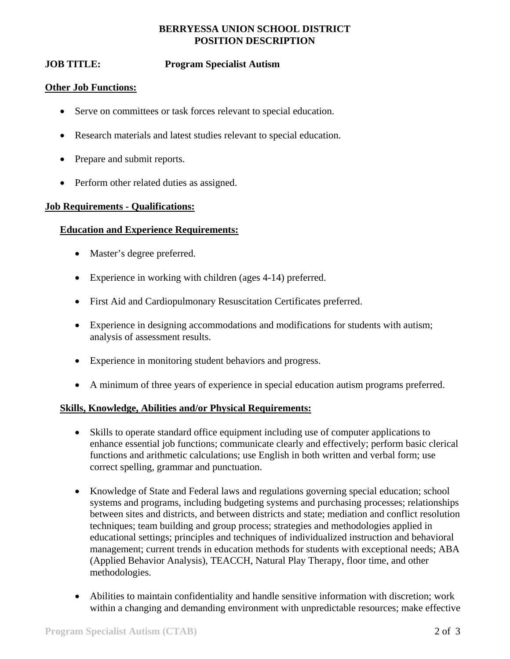## **BERRYESSA UNION SCHOOL DISTRICT POSITION DESCRIPTION**

# **JOB TITLE: Program Specialist Autism**

### **Other Job Functions:**

- Serve on committees or task forces relevant to special education.
- Research materials and latest studies relevant to special education.
- Prepare and submit reports.
- Perform other related duties as assigned.

#### **Job Requirements - Qualifications:**

#### **Education and Experience Requirements:**

- Master's degree preferred.
- Experience in working with children (ages 4-14) preferred.
- First Aid and Cardiopulmonary Resuscitation Certificates preferred.
- Experience in designing accommodations and modifications for students with autism; analysis of assessment results.
- Experience in monitoring student behaviors and progress.
- A minimum of three years of experience in special education autism programs preferred.

#### **Skills, Knowledge, Abilities and/or Physical Requirements:**

- Skills to operate standard office equipment including use of computer applications to enhance essential job functions; communicate clearly and effectively; perform basic clerical functions and arithmetic calculations; use English in both written and verbal form; use correct spelling, grammar and punctuation.
- Knowledge of State and Federal laws and regulations governing special education; school systems and programs, including budgeting systems and purchasing processes; relationships between sites and districts, and between districts and state; mediation and conflict resolution techniques; team building and group process; strategies and methodologies applied in educational settings; principles and techniques of individualized instruction and behavioral management; current trends in education methods for students with exceptional needs; ABA (Applied Behavior Analysis), TEACCH, Natural Play Therapy, floor time, and other methodologies.
- Abilities to maintain confidentiality and handle sensitive information with discretion; work within a changing and demanding environment with unpredictable resources; make effective